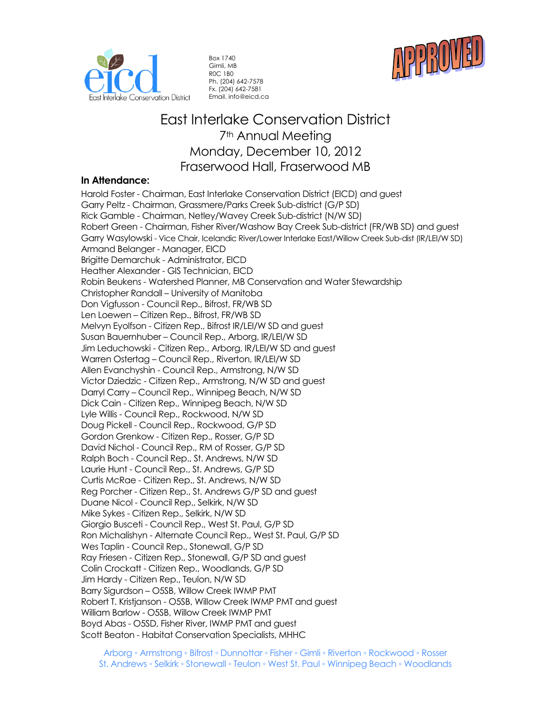



Box 1740 Gimli, MB R0C 1B0 Ph. (204) 642-7578 Fx. (204) 642-7581 Email. info@eicd.ca

# East Interlake Conservation District 7<sup>th</sup> Annual Meeting Monday, December 10, 2012 Fraserwood Hall, Fraserwood MB

# **In Attendance:**

Harold Foster - Chairman, East Interlake Conservation District (EICD) and guest Garry Peltz - Chairman, Grassmere/Parks Creek Sub-district (G/P SD) Rick Gamble - Chairman, Netley/Wavey Creek Sub-district (N/W SD) Robert Green - Chairman, Fisher River/Washow Bay Creek Sub-district (FR/WB SD) and guest Garry Wasylowski - Vice Chair, Icelandic River/Lower Interlake East/Willow Creek Sub-dist (IR/LEI/W SD) Armand Belanger - Manager, EICD Brigitte Demarchuk - Administrator, EICD Heather Alexander - GIS Technician, EICD Robin Beukens - Watershed Planner, MB Conservation and Water Stewardship Christopher Randall – University of Manitoba Don Vigfusson - Council Rep., Bifrost, FR/WB SD Len Loewen – Citizen Rep., Bifrost, FR/WB SD Melvyn Eyolfson - Citizen Rep., Bifrost IR/LEI/W SD and guest Susan Bauernhuber – Council Rep., Arborg, IR/LEI/W SD Jim Leduchowski - Citizen Rep., Arborg, IR/LEI/W SD and guest Warren Ostertag – Council Rep., Riverton, IR/LEI/W SD Allen Evanchyshin - Council Rep., Armstrong, N/W SD Victor Dziedzic - Citizen Rep., Armstrong, N/W SD and guest Darryl Carry – Council Rep., Winnipeg Beach, N/W SD Dick Cain - Citizen Rep., Winnipeg Beach, N/W SD Lyle Willis - Council Rep., Rockwood, N/W SD Doug Pickell - Council Rep., Rockwood, G/P SD Gordon Grenkow - Citizen Rep., Rosser, G/P SD David Nichol - Council Rep., RM of Rosser, G/P SD Ralph Boch - Council Rep., St. Andrews, N/W SD Laurie Hunt - Council Rep., St. Andrews, G/P SD Curtis McRae - Citizen Rep., St. Andrews, N/W SD Reg Porcher - Citizen Rep., St. Andrews G/P SD and guest Duane Nicol - Council Rep., Selkirk, N/W SD Mike Sykes - Citizen Rep., Selkirk, N/W SD Giorgio Busceti - Council Rep., West St. Paul, G/P SD Ron Michalishyn - Alternate Council Rep., West St. Paul, G/P SD Wes Taplin - Council Rep., Stonewall, G/P SD Ray Friesen - Citizen Rep., Stonewall, G/P SD and guest Colin Crockatt - Citizen Rep., Woodlands, G/P SD Jim Hardy - Citizen Rep., Teulon, N/W SD Barry Sigurdson – O5SB, Willow Creek IWMP PMT Robert T. Kristjanson - O5SB, Willow Creek IWMP PMT and guest William Barlow - O5SB, Willow Creek IWMP PMT Boyd Abas - O5SD, Fisher River, IWMP PMT and guest Scott Beaton - Habitat Conservation Specialists, MHHC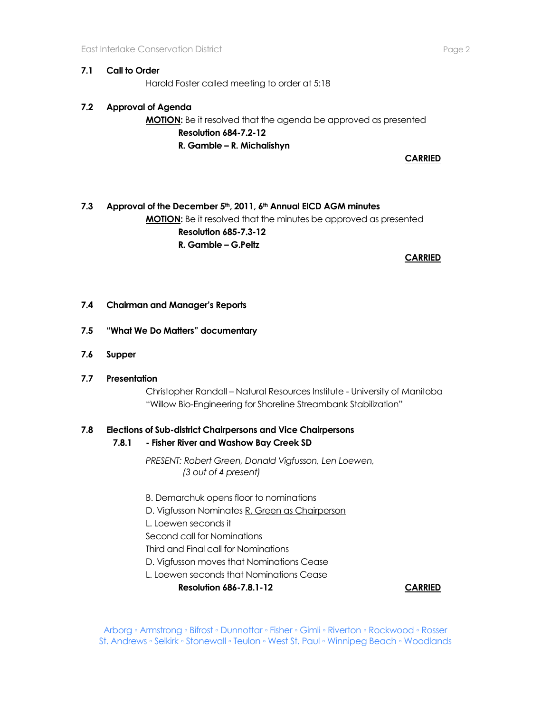### **7.1 Call to Order**

Harold Foster called meeting to order at 5:18

# **7.2 Approval of Agenda**

**MOTION:** Be it resolved that the agenda be approved as presented **Resolution 684-7.2-12 R. Gamble – R. Michalishyn** 

**CARRIED**

# **7.3 Approval of the December 5th, 2011, 6th Annual EICD AGM minutes MOTION:** Be it resolved that the minutes be approved as presented **Resolution 685-7.3-12 R. Gamble – G.Peltz**

**CARRIED**

### **7.4 Chairman and Manager's Reports**

### **7.5 "What We Do Matters" documentary**

- **7.6 Supper**
- **7.7 Presentation**

Christopher Randall – Natural Resources Institute - University of Manitoba "Willow Bio-Engineering for Shoreline Streambank Stabilization"

## **7.8 Elections of Sub-district Chairpersons and Vice Chairpersons**

**7.8.1 - Fisher River and Washow Bay Creek SD**

*PRESENT: Robert Green, Donald Vigfusson, Len Loewen, (3 out of 4 present)*

- B. Demarchuk opens floor to nominations
- D. Vigfusson Nominates R. Green as Chairperson
- L. Loewen seconds it
- Second call for Nominations
- Third and Final call for Nominations

D. Vigfusson moves that Nominations Cease

L. Loewen seconds that Nominations Cease

**Resolution 686-7.8.1-12 CARRIED**

Arborg ◦ Armstrong ◦ Bifrost ◦ Dunnottar ◦ Fisher ◦ Gimli ◦ Riverton ◦ Rockwood ◦ Rosser St. Andrews ◦ Selkirk ◦ Stonewall ◦ Teulon ◦ West St. Paul ◦ Winnipeg Beach ◦ Woodlands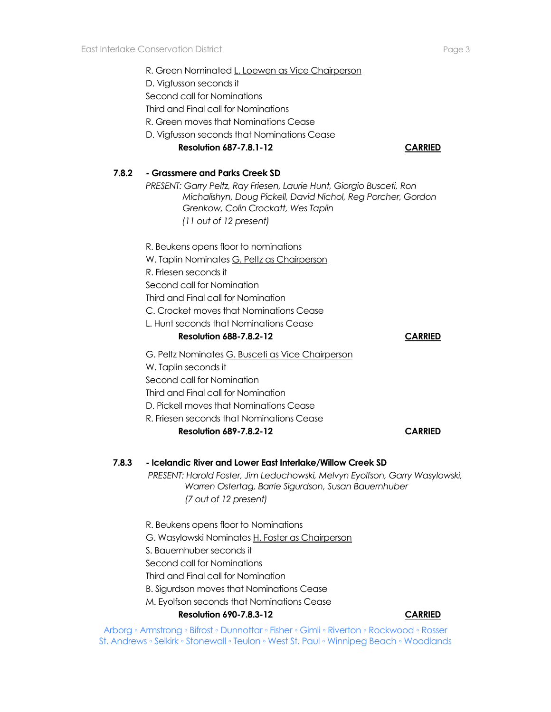|       | R. Green Nominated L. Loewen as Vice Chairperson<br>D. Vigfusson seconds it<br>Second call for Nominations<br>Third and Final call for Nominations<br>R. Green moves that Nominations Cease<br>D. Vigfusson seconds that Nominations Cease<br><b>Resolution 687-7.8.1-12</b> | <b>CARRIED</b> |
|-------|------------------------------------------------------------------------------------------------------------------------------------------------------------------------------------------------------------------------------------------------------------------------------|----------------|
| 7.8.2 | - Grassmere and Parks Creek SD<br>PRESENT: Garry Peltz, Ray Friesen, Laurie Hunt, Giorgio Busceti, Ron<br>Michalishyn, Doug Pickell, David Nichol, Reg Porcher, Gordon<br>Grenkow, Colin Crockatt, Wes Taplin<br>(11 out of 12 present)                                      |                |
|       | R. Beukens opens floor to nominations<br>W. Taplin Nominates G. Peltz as Chairperson<br>R. Friesen seconds it<br>Second call for Nomination<br>Third and Final call for Nomination<br>C. Crocket moves that Nominations Cease<br>L. Hunt seconds that Nominations Cease      |                |
|       | <b>Resolution 688-7.8.2-12</b>                                                                                                                                                                                                                                               | <b>CARRIED</b> |
|       | G. Peltz Nominates G. Busceti as Vice Chairperson<br>W. Taplin seconds it<br>Second call for Nomination<br>Third and Final call for Nomination<br>D. Pickell moves that Nominations Cease<br>R. Friesen seconds that Nominations Cease<br><b>Resolution 689-7.8.2-12</b>     | CARRIED        |
| 7.8.3 | - Icelandic River and Lower East Interlake/Willow Creek SD<br>PRESENT: Harold Foster, Jim Leduchowski, Melvyn Eyolfson, Garry Wasylowski,<br>Warren Ostertag, Barrie Sigurdson, Susan Bauernhuber<br>(7 out of 12 present)                                                   |                |
|       | R. Beukens opens floor to Nominations<br>G. Wasylowski Nominates H. Foster as Chairperson<br>S. Bauernhuber seconds it<br>Second call for Nominations<br>Third and Final call for Nomination                                                                                 |                |

B. Sigurdson moves that Nominations Cease

M. Eyolfson seconds that Nominations Cease

**Resolution 690-7.8.3-12 CARRIED**

Arborg ◦ Armstrong ◦ Bifrost ◦ Dunnottar ◦ Fisher ◦ Gimli ◦ Riverton ◦ Rockwood ◦ Rosser St. Andrews ◦ Selkirk ◦ Stonewall ◦ Teulon ◦ West St. Paul ◦ Winnipeg Beach ◦ Woodlands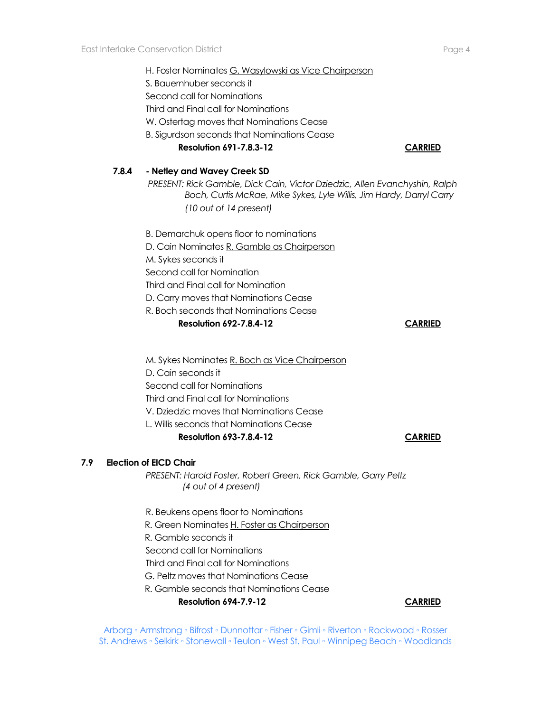H. Foster Nominates G. Wasylowski as Vice Chairperson S. Bauernhuber seconds it Second call for Nominations Third and Final call for Nominations W. Ostertag moves that Nominations Cease B. Sigurdson seconds that Nominations Cease **Resolution 691-7.8.3-12 CARRIED 7.8.4 - Netley and Wavey Creek SD** *PRESENT: Rick Gamble, Dick Cain, Victor Dziedzic, Allen Evanchyshin, Ralph Boch, Curtis McRae, Mike Sykes, Lyle Willis, Jim Hardy, Darryl Carry (10 out of 14 present)* B. Demarchuk opens floor to nominations D. Cain Nominates R. Gamble as Chairperson M. Sykes seconds it Second call for Nomination Third and Final call for Nomination D. Carry moves that Nominations Cease R. Boch seconds that Nominations Cease **Resolution 692-7.8.4-12 CARRIED** M. Sykes Nominates R. Boch as Vice Chairperson D. Cain seconds it Second call for Nominations Third and Final call for Nominations V. Dziedzic moves that Nominations Cease L. Willis seconds that Nominations Cease **Resolution 693-7.8.4-12 CARRIED 7.9 Election of EICD Chair**  *PRESENT: Harold Foster, Robert Green, Rick Gamble, Garry Peltz (4 out of 4 present)* R. Beukens opens floor to Nominations R. Green Nominates H. Foster as Chairperson R. Gamble seconds it

- 
- Second call for Nominations
- Third and Final call for Nominations
- G. Peltz moves that Nominations Cease
- R. Gamble seconds that Nominations Cease

### **Resolution 694-7.9-12 CARRIED**

Arborg ◦ Armstrong ◦ Bifrost ◦ Dunnottar ◦ Fisher ◦ Gimli ◦ Riverton ◦ Rockwood ◦ Rosser St. Andrews ◦ Selkirk ◦ Stonewall ◦ Teulon ◦ West St. Paul ◦ Winnipeg Beach ◦ Woodlands